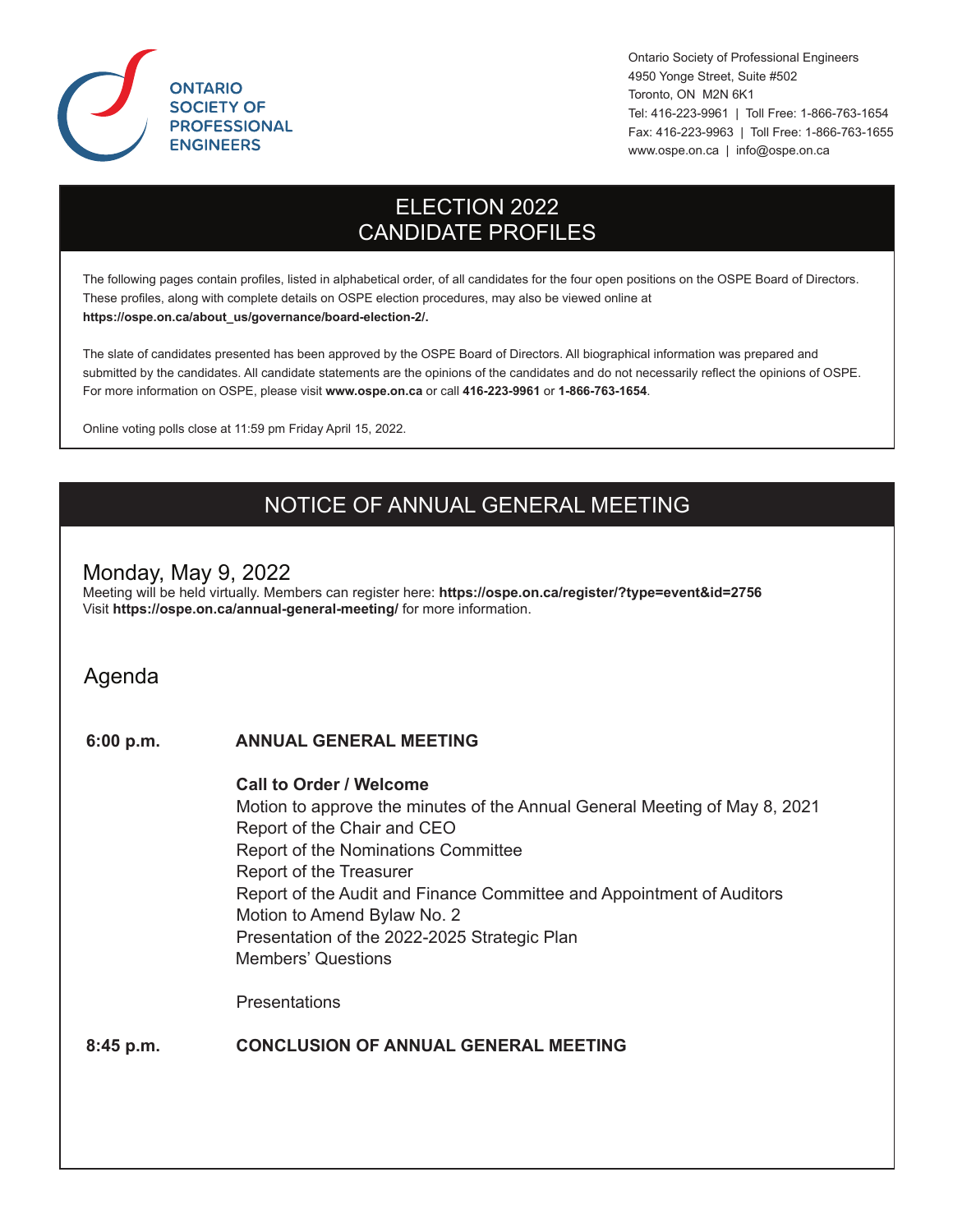

Ontario Society of Professional Engineers 4950 Yonge Street, Suite #502 Toronto, ON M2N 6K1 Tel: 416-223-9961 | Toll Free: 1-866-763-1654 Fax: 416-223-9963 | Toll Free: 1-866-763-1655 www.ospe.on.ca | info@ospe.on.ca

# ELECTION 2022 CANDIDATE PROFILES

The following pages contain profiles, listed in alphabetical order, of all candidates for the four open positions on the OSPE Board of Directors. These profiles, along with complete details on OSPE election procedures, may also be viewed online at **https://ospe.on.ca/about\_us/governance/board-election-2/.**

The slate of candidates presented has been approved by the OSPE Board of Directors. All biographical information was prepared and submitted by the candidates. All candidate statements are the opinions of the candidates and do not necessarily reflect the opinions of OSPE. For more information on OSPE, please visit **www.ospe.on.ca** or call **416-223-9961** or **1-866-763-1654**.

Online voting polls close at 11:59 pm Friday April 15, 2022.

# NOTICE OF ANNUAL GENERAL MEETING

### Monday, May 9, 2022

Meeting will be held virtually. Members can register here: **https://ospe.on.ca/register/?type=event&id=2756** Visit **https://ospe.on.ca/annual-general-meeting/** for more information.

Agenda

### **6:00 p.m. ANNUAL GENERAL MEETING**

### **Call to Order / Welcome**

 Motion to approve the minutes of the Annual General Meeting of May 8, 2021 Report of the Chair and CEO Report of the Nominations Committee Report of the Treasurer Report of the Audit and Finance Committee and Appointment of Auditors Motion to Amend Bylaw No. 2 Presentation of the 2022-2025 Strategic Plan Members' Questions

**Presentations** 

### **8:45 p.m. CONCLUSION OF ANNUAL GENERAL MEETING**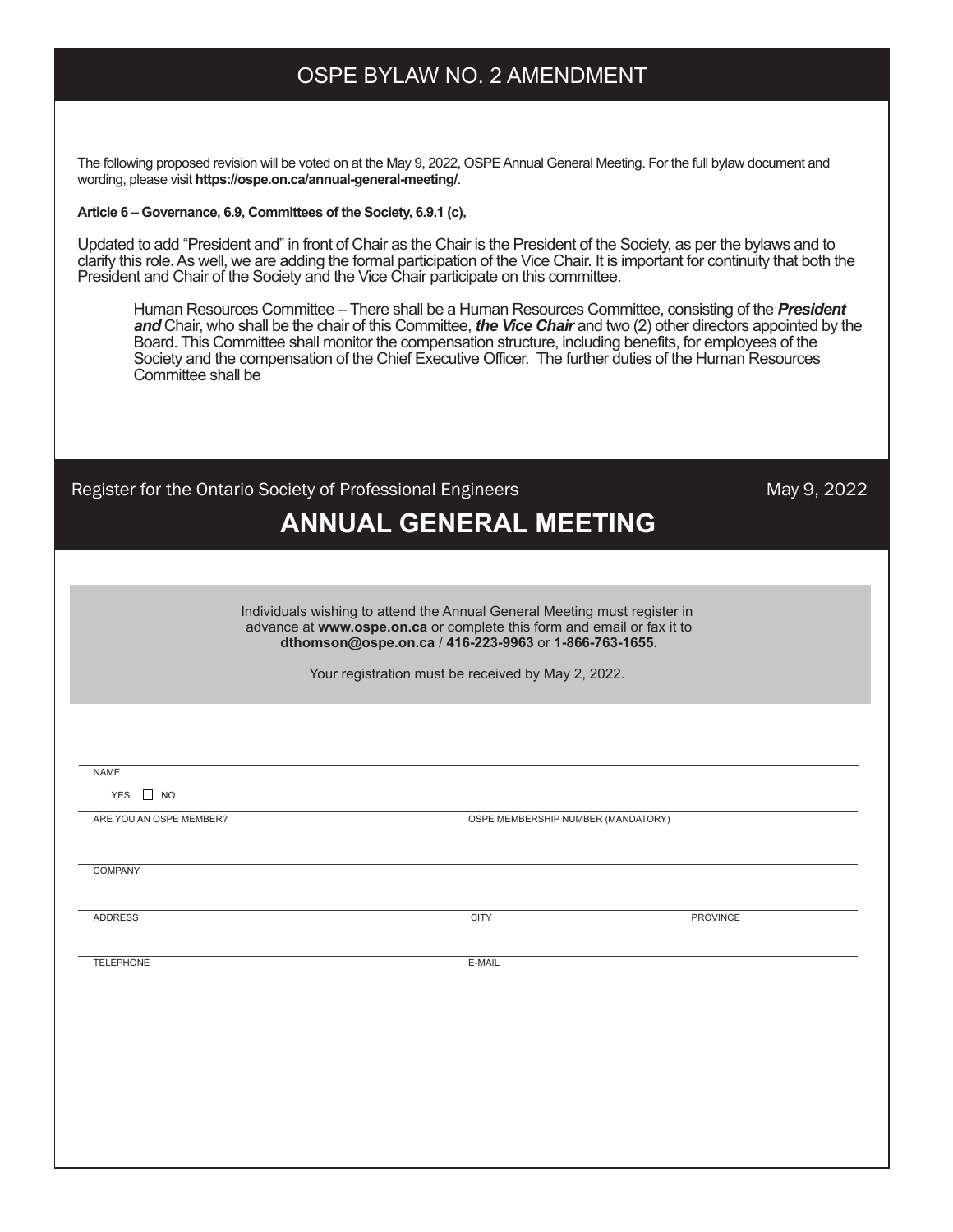# OSPE BYLAW NO. 2 AMENDMENT

The following proposed revision will be voted on at the May 9, 2022, OSPE Annual General Meeting. For the full bylaw document and wording, please visit **https://ospe.on.ca/annual-general-meeting/**.

### **Article 6 – Governance, 6.9, Committees of the Society, 6.9.1 (c),**

Updated to add "President and" in front of Chair as the Chair is the President of the Society, as per the bylaws and to clarify this role. As well, we are adding the formal participation of the Vice Chair. It is important for continuity that both the President and Chair of the Society and the Vice Chair participate on this committee.

 Human Resources Committee – There shall be a Human Resources Committee, consisting of the *President and* Chair, who shall be the chair of this Committee, *the Vice Chair* and two (2) other directors appointed by the Board. This Committee shall monitor the compensation structure, including benefits, for employees of the Society and the compensation of the Chief Executive Officer. The further duties of the Human Resources Committee shall be

| Register for the Ontario Society of Professional Engineers<br><b>ANNUAL GENERAL MEETING</b>                                                                                                                  | May 9, 2022                        |
|--------------------------------------------------------------------------------------------------------------------------------------------------------------------------------------------------------------|------------------------------------|
|                                                                                                                                                                                                              |                                    |
| Individuals wishing to attend the Annual General Meeting must register in<br>advance at www.ospe.on.ca or complete this form and email or fax it to<br>dthomson@ospe.on.ca / 416-223-9963 or 1-866-763-1655. |                                    |
| Your registration must be received by May 2, 2022.                                                                                                                                                           |                                    |
|                                                                                                                                                                                                              |                                    |
| <b>NAME</b>                                                                                                                                                                                                  |                                    |
| YES $\Box$ NO                                                                                                                                                                                                |                                    |
| ARE YOU AN OSPE MEMBER?                                                                                                                                                                                      | OSPE MEMBERSHIP NUMBER (MANDATORY) |
| <b>COMPANY</b>                                                                                                                                                                                               |                                    |
| <b>CITY</b><br><b>ADDRESS</b>                                                                                                                                                                                | PROVINCE                           |
| <b>TELEPHONE</b>                                                                                                                                                                                             | E-MAIL                             |
|                                                                                                                                                                                                              |                                    |
|                                                                                                                                                                                                              |                                    |
|                                                                                                                                                                                                              |                                    |
|                                                                                                                                                                                                              |                                    |
|                                                                                                                                                                                                              |                                    |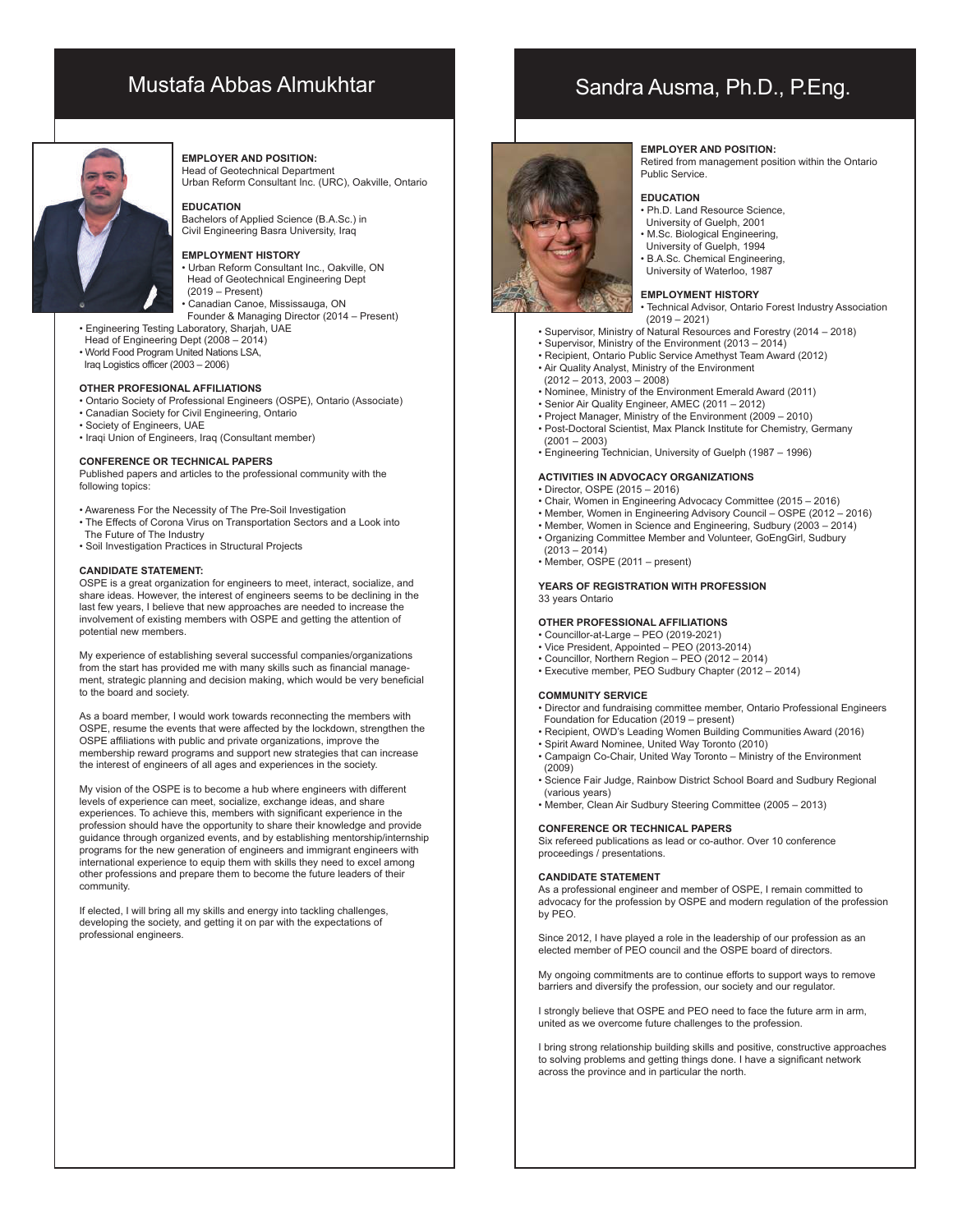## Mustafa Abbas Almukhtar



#### **EMPLOYER AND POSITION:**

Head of Geotechnical Department Urban Reform Consultant Inc. (URC), Oakville, Ontario

#### **EDUCATION**

Bachelors of Applied Science (B.A.Sc.) in Civil Engineering Basra University, Iraq

#### **EMPLOYMENT HISTORY**

• Urban Reform Consultant Inc., Oakville, ON Head of Geotechnical Engineering Dept (2019 – Present) • Canadian Canoe, Mississauga, ON

Founder & Managing Director (2014 – Present)

- Engineering Testing Laboratory, Sharjah, UAE
- Head of Engineering Dept (2008 2014)
- World Food Program United Nations LSA,
- Iraq Logistics officer (2003 2006)

### **OTHER PROFESIONAL AFFILIATIONS**

- Ontario Society of Professional Engineers (OSPE), Ontario (Associate)
- Canadian Society for Civil Engineering, Ontario
- Society of Engineers, UAE
- Iraqi Union of Engineers, Iraq (Consultant member)

#### **CONFERENCE OR TECHNICAL PAPERS**

Published papers and articles to the professional community with the following topics:

- Awareness For the Necessity of The Pre-Soil Investigation
- The Effects of Corona Virus on Transportation Sectors and a Look into The Future of The Industry
- Soil Investigation Practices in Structural Projects

#### **CANDIDATE STATEMENT:**

OSPE is a great organization for engineers to meet, interact, socialize, and share ideas. However, the interest of engineers seems to be declining in the last few years, I believe that new approaches are needed to increase the involvement of existing members with OSPE and getting the attention of potential new members.

My experience of establishing several successful companies/organizations from the start has provided me with many skills such as financial management, strategic planning and decision making, which would be very beneficial to the board and society.

As a board member, I would work towards reconnecting the members with OSPE, resume the events that were affected by the lockdown, strengthen the OSPE affiliations with public and private organizations, improve the membership reward programs and support new strategies that can increase the interest of engineers of all ages and experiences in the society.

My vision of the OSPE is to become a hub where engineers with different levels of experience can meet, socialize, exchange ideas, and share experiences. To achieve this, members with significant experience in the profession should have the opportunity to share their knowledge and provide guidance through organized events, and by establishing mentorship/internship programs for the new generation of engineers and immigrant engineers with international experience to equip them with skills they need to excel among other professions and prepare them to become the future leaders of their community.

If elected, I will bring all my skills and energy into tackling challenges, developing the society, and getting it on par with the expectations of professional engineers.

### **EMPLOYER AND POSITION:**

Retired from management position within the Ontario Public Service.

#### **EDUCATION**

- Ph.D. Land Resource Science,
- University of Guelph, 2001 • M.Sc. Biological Engineering,
- University of Guelph, 1994
- B.A.Sc. Chemical Engineering,
- University of Waterloo, 1987

### **EMPLOYMENT HISTORY**

• Technical Advisor, Ontario Forest Industry Association

- $(2019 2021)$
- Supervisor, Ministry of Natural Resources and Forestry (2014 2018)
- Supervisor, Ministry of the Environment (2013 2014)
- Recipient, Ontario Public Service Amethyst Team Award (2012)
- Air Quality Analyst, Ministry of the Environment
- (2012 2013, 2003 2008)
- Nominee, Ministry of the Environment Emerald Award (2011) • Senior Air Quality Engineer, AMEC (2011 – 2012)
- Project Manager, Ministry of the Environment (2009 2010)
- Post-Doctoral Scientist, Max Planck Institute for Chemistry, Germany  $(2001 - 2003)$
- Engineering Technician, University of Guelph (1987 1996)

#### **ACTIVITIES IN ADVOCACY ORGANIZATIONS**

- Director, OSPE (2015 2016)
- Chair, Women in Engineering Advocacy Committee (2015 2016)
- Member, Women in Engineering Advisory Council OSPE (2012 2016)
- Member, Women in Science and Engineering, Sudbury (2003 2014)
- Organizing Committee Member and Volunteer, GoEngGirl, Sudbury  $(2013 - 2014)$
- Member, OSPE (2011 present)

#### **YEARS OF REGISTRATION WITH PROFESSION** 33 years Ontario

#### **OTHER PROFESSIONAL AFFILIATIONS**

- Councillor-at-Large PEO (2019-2021)
- Vice President, Appointed PEO (2013-2014)
- 
- Councillor, Northern Region PEO (2012 2014) Executive member, PEO Sudbury Chapter (2012 2014)

#### **COMMUNITY SERVICE**

- Director and fundraising committee member, Ontario Professional Engineers Foundation for Education (2019 – present)
- Recipient, OWD's Leading Women Building Communities Award (2016)
- Spirit Award Nominee, United Way Toronto (2010) • Campaign Co-Chair, United Way Toronto – Ministry of the Environment
- (2009)
- Science Fair Judge, Rainbow District School Board and Sudbury Regional (various years)
- Member, Clean Air Sudbury Steering Committee (2005 2013)

#### **CONFERENCE OR TECHNICAL PAPERS**

Six refereed publications as lead or co-author. Over 10 conference proceedings / presentations.

#### **CANDIDATE STATEMENT**

As a professional engineer and member of OSPE, I remain committed to advocacy for the profession by OSPE and modern regulation of the profession by PEO.

Since 2012, I have played a role in the leadership of our profession as an elected member of PEO council and the OSPE board of directors.

My ongoing commitments are to continue efforts to support ways to remove barriers and diversify the profession, our society and our regulator.

I strongly believe that OSPE and PEO need to face the future arm in arm, united as we overcome future challenges to the profession.

I bring strong relationship building skills and positive, constructive approaches to solving problems and getting things done. I have a significant network across the province and in particular the north.

# Sandra Ausma, Ph.D., P.Eng.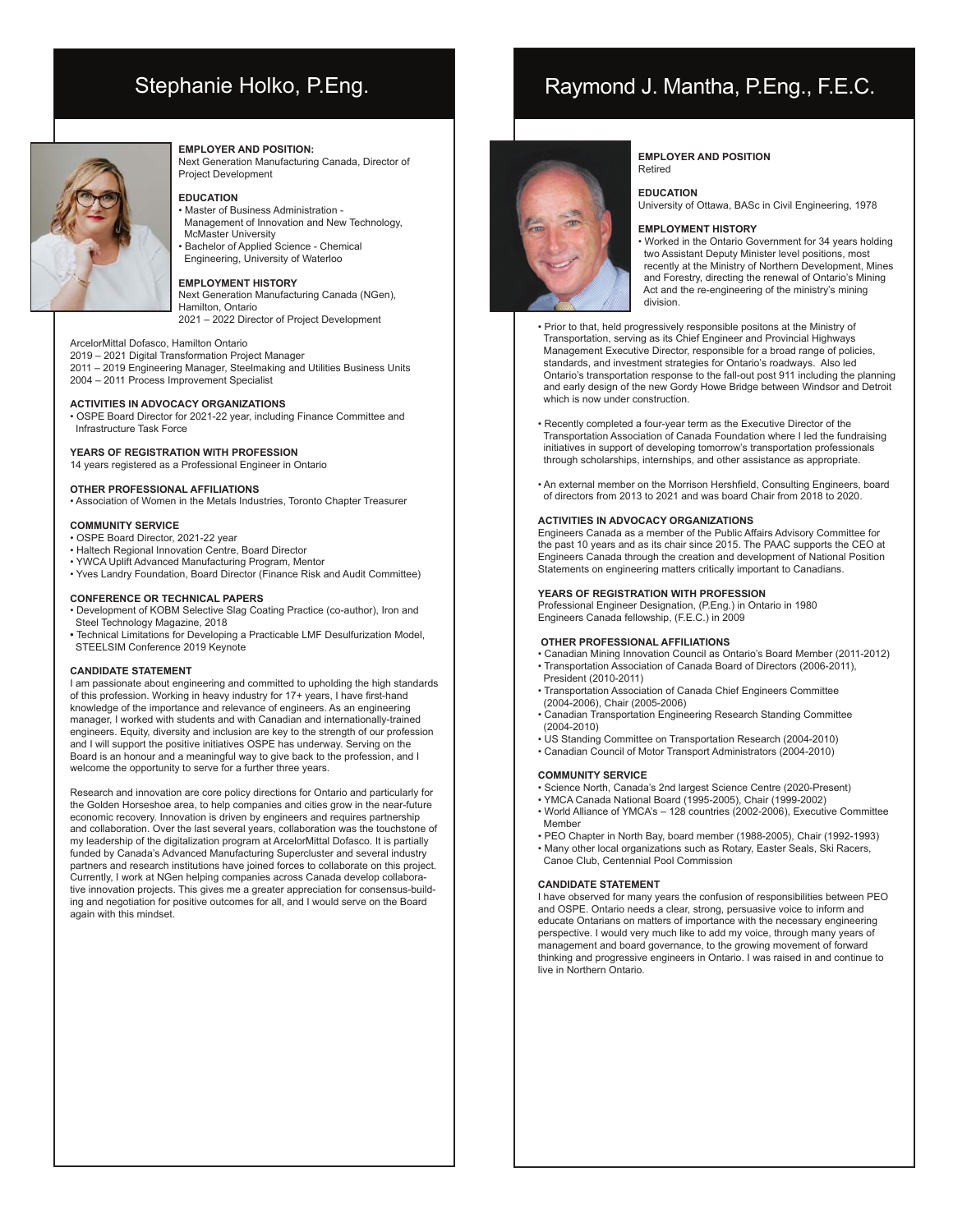# Stephanie Holko, P.Eng.



#### **EMPLOYER AND POSITION:**

Next Generation Manufacturing Canada, Director of Project Development

#### **EDUCATION**

- Master of Business Administration -
- Management of Innovation and New Technology, McMaster University • Bachelor of Applied Science - Chemical
- Engineering, University of Waterloo

#### **EMPLOYMENT HISTORY**

#### Next Generation Manufacturing Canada (NGen), Hamilton, Ontario

2021 – 2022 Director of Project Development

### ArcelorMittal Dofasco, Hamilton Ontario

2019 – 2021 Digital Transformation Project Manager 2011 – 2019 Engineering Manager, Steelmaking and Utilities Business Units 2004 – 2011 Process Improvement Specialist

#### **ACTIVITIES IN ADVOCACY ORGANIZATIONS**

• OSPE Board Director for 2021-22 year, including Finance Committee and Infrastructure Task Force

#### **YEARS OF REGISTRATION WITH PROFESSION**

14 years registered as a Professional Engineer in Ontario

#### **OTHER PROFESSIONAL AFFILIATIONS**

• Association of Women in the Metals Industries, Toronto Chapter Treasurer

#### **COMMUNITY SERVICE**

- OSPE Board Director, 2021-22 year
- Haltech Regional Innovation Centre, Board Director
- YWCA Uplift Advanced Manufacturing Program, Mentor
- Yves Landry Foundation, Board Director (Finance Risk and Audit Committee)

#### **CONFERENCE OR TECHNICAL PAPERS**

- Development of KOBM Selective Slag Coating Practice (co-author), Iron and Steel Technology Magazine, 2018
- Technical Limitations for Developing a Practicable LMF Desulfurization Model, STEELSIM Conference 2019 Keynote

#### **CANDIDATE STATEMENT**

I am passionate about engineering and committed to upholding the high standards of this profession. Working in heavy industry for 17+ years, I have first-hand knowledge of the importance and relevance of engineers. As an engineering manager, I worked with students and with Canadian and internationally-trained engineers. Equity, diversity and inclusion are key to the strength of our profession and I will support the positive initiatives OSPE has underway. Serving on the Board is an honour and a meaningful way to give back to the profession, and I welcome the opportunity to serve for a further three years.

Research and innovation are core policy directions for Ontario and particularly for the Golden Horseshoe area, to help companies and cities grow in the near-future economic recovery. Innovation is driven by engineers and requires partnership and collaboration. Over the last several years, collaboration was the touchstone of my leadership of the digitalization program at ArcelorMittal Dofasco. It is partially funded by Canada's Advanced Manufacturing Supercluster and several industry partners and research institutions have joined forces to collaborate on this project. Currently, I work at NGen helping companies across Canada develop collaborative innovation projects. This gives me a greater appreciation for consensus-building and negotiation for positive outcomes for all, and I would serve on the Board again with this mindset.

## Raymond J. Mantha, P.Eng., F.E.C.



#### **EMPLOYER AND POSITION**  Retired

#### **EDUCATION**

University of Ottawa, BASc in Civil Engineering, 1978

#### **EMPLOYMENT HISTORY**

• Worked in the Ontario Government for 34 years holding two Assistant Deputy Minister level positions, most recently at the Ministry of Northern Development, Mines and Forestry, directing the renewal of Ontario's Mining Act and the re-engineering of the ministry's mining division.

• Prior to that, held progressively responsible positons at the Ministry of Transportation, serving as its Chief Engineer and Provincial Highways Management Executive Director, responsible for a broad range of policies, standards, and investment strategies for Ontario's roadways. Also led Ontario's transportation response to the fall-out post 911 including the planning and early design of the new Gordy Howe Bridge between Windsor and Detroit which is now under construction.

- Recently completed a four-year term as the Executive Director of the Transportation Association of Canada Foundation where I led the fundraising initiatives in support of developing tomorrow's transportation professionals through scholarships, internships, and other assistance as appropriate.
- An external member on the Morrison Hershfield, Consulting Engineers, board of directors from 2013 to 2021 and was board Chair from 2018 to 2020.

#### **ACTIVITIES IN ADVOCACY ORGANIZATIONS**

Engineers Canada as a member of the Public Affairs Advisory Committee for the past 10 years and as its chair since 2015. The PAAC supports the CEO at Engineers Canada through the creation and development of National Position Statements on engineering matters critically important to Canadians.

#### **YEARS OF REGISTRATION WITH PROFESSION**

Professional Engineer Designation, (P.Eng.) in Ontario in 1980 Engineers Canada fellowship, (F.E.C.) in 2009

#### **OTHER PROFESSIONAL AFFILIATIONS**

- Canadian Mining Innovation Council as Ontario's Board Member (2011-2012) • Transportation Association of Canada Board of Directors (2006-2011),
- President (2010-2011) • Transportation Association of Canada Chief Engineers Committee
- (2004-2006), Chair (2005-2006) • Canadian Transportation Engineering Research Standing Committee
- (2004-2010)
- US Standing Committee on Transportation Research (2004-2010) • Canadian Council of Motor Transport Administrators (2004-2010)
- 

#### **COMMUNITY SERVICE**

- Science North, Canada's 2nd largest Science Centre (2020-Present)
- YMCA Canada National Board (1995-2005), Chair (1999-2002)
- World Alliance of YMCA's 128 countries (2002-2006), Executive Committee Member
- PEO Chapter in North Bay, board member (1988-2005), Chair (1992-1993) • Many other local organizations such as Rotary, Easter Seals, Ski Racers,
- Canoe Club, Centennial Pool Commission

#### **CANDIDATE STATEMENT**

I have observed for many years the confusion of responsibilities between PEO and OSPE. Ontario needs a clear, strong, persuasive voice to inform and educate Ontarians on matters of importance with the necessary engineering perspective. I would very much like to add my voice, through many years of management and board governance, to the growing movement of forward thinking and progressive engineers in Ontario. I was raised in and continue to live in Northern Ontario.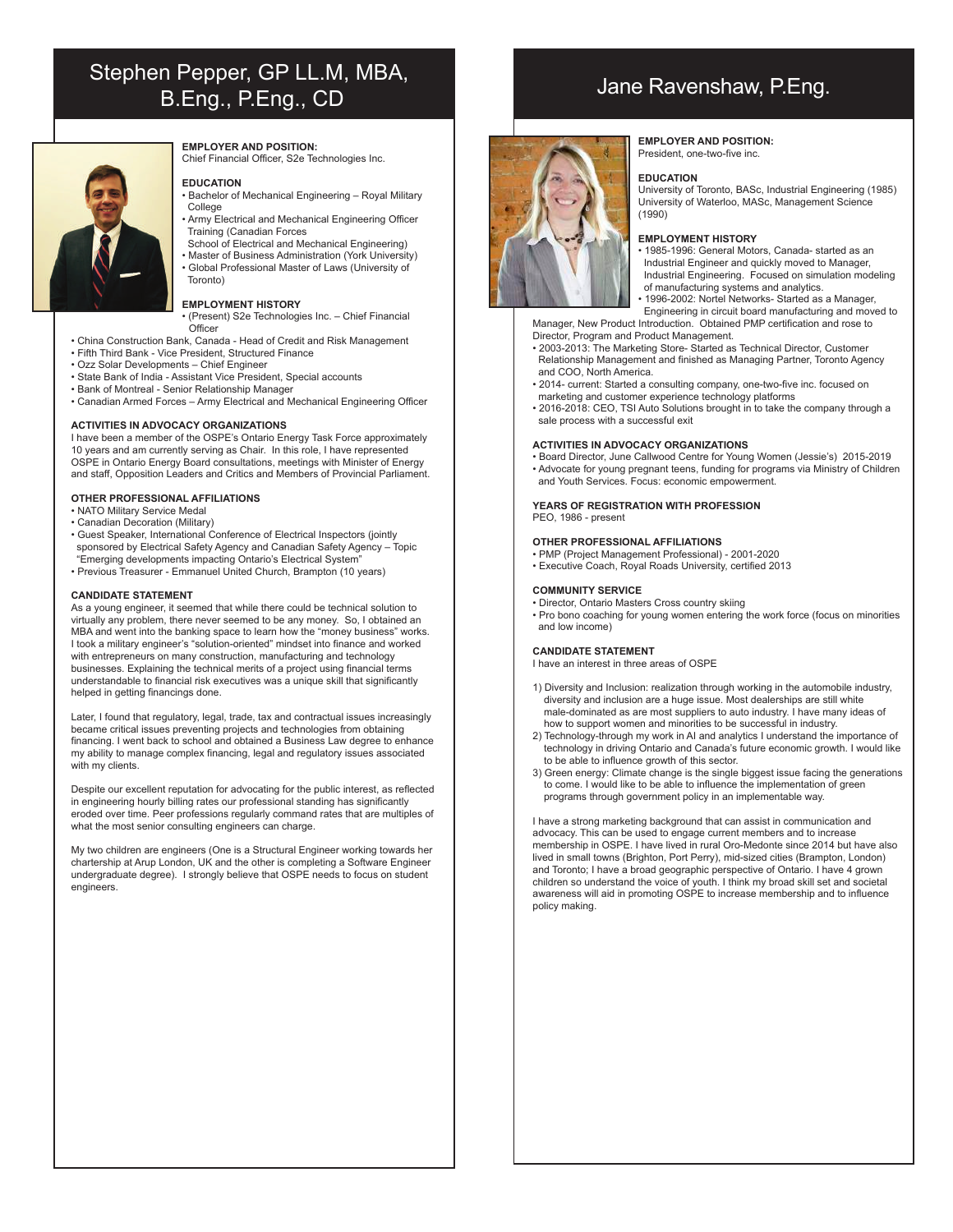# Stephen Pepper, GP LL.M, MBA, B.Eng., P.Eng., CD<br>B.Eng., P.Eng., CD



### **EMPLOYER AND POSITION:**

Chief Financial Officer, S2e Technologies Inc.

#### **EDUCATION**

- Bachelor of Mechanical Engineering Royal Military College
- Army Electrical and Mechanical Engineering Officer Training (Canadian Forces
- School of Electrical and Mechanical Engineering)
- Master of Business Administration (York University) • Global Professional Master of Laws (University of Toronto)

### **EMPLOYMENT HISTORY**

- (Present) S2e Technologies Inc. Chief Financial **Officer**
- China Construction Bank, Canada Head of Credit and Risk Management
- Fifth Third Bank Vice President, Structured Finance
- Ozz Solar Developments Chief Engineer
- State Bank of India Assistant Vice President, Special accounts
- Bank of Montreal Senior Relationship Manager
- Canadian Armed Forces Army Electrical and Mechanical Engineering Officer

#### **ACTIVITIES IN ADVOCACY ORGANIZATIONS**

I have been a member of the OSPE's Ontario Energy Task Force approximately 10 years and am currently serving as Chair. In this role, I have represented OSPE in Ontario Energy Board consultations, meetings with Minister of Energy and staff, Opposition Leaders and Critics and Members of Provincial Parliament.

#### **OTHER PROFESSIONAL AFFILIATIONS**

- NATO Military Service Medal
- Canadian Decoration (Military)
- Guest Speaker, International Conference of Electrical Inspectors (jointly sponsored by Electrical Safety Agency and Canadian Safety Agency – Topic "Emerging developments impacting Ontario's Electrical System"
- Previous Treasurer Emmanuel United Church, Brampton (10 years)

#### **CANDIDATE STATEMENT**

As a young engineer, it seemed that while there could be technical solution to virtually any problem, there never seemed to be any money. So, I obtained an MBA and went into the banking space to learn how the "money business" works. I took a military engineer's "solution-oriented" mindset into finance and worked with entrepreneurs on many construction, manufacturing and technology businesses. Explaining the technical merits of a project using financial terms understandable to financial risk executives was a unique skill that significantly helped in getting financings done.

Later, I found that regulatory, legal, trade, tax and contractual issues increasingly became critical issues preventing projects and technologies from obtaining financing. I went back to school and obtained a Business Law degree to enhance my ability to manage complex financing, legal and regulatory issues associated with my clients.

Despite our excellent reputation for advocating for the public interest, as reflected in engineering hourly billing rates our professional standing has significantly eroded over time. Peer professions regularly command rates that are multiples of what the most senior consulting engineers can charge.

My two children are engineers (One is a Structural Engineer working towards her chartership at Arup London, UK and the other is completing a Software Engineer undergraduate degree). I strongly believe that OSPE needs to focus on student engineers.



#### **EMPLOYER AND POSITION:** President, one-two-five inc.

#### **EDUCATION**

University of Toronto, BASc, Industrial Engineering (1985) University of Waterloo, MASc, Management Science (1990)

#### **EMPLOYMENT HISTORY**

- 1985-1996: General Motors, Canada- started as an Industrial Engineer and quickly moved to Manager, Industrial Engineering. Focused on simulation modeling of manufacturing systems and analytics.
- 1996-2002: Nortel Networks- Started as a Manager,

 Engineering in circuit board manufacturing and moved to Manager, New Product Introduction. Obtained PMP certification and rose to Director, Program and Product Management.

- 2003-2013: The Marketing Store- Started as Technical Director, Customer Relationship Management and finished as Managing Partner, Toronto Agency and COO, North America.
- 2014- current: Started a consulting company, one-two-five inc. focused on marketing and customer experience technology platforms
- 2016-2018: CEO, TSI Auto Solutions brought in to take the company through a sale process with a successful exit

#### **ACTIVITIES IN ADVOCACY ORGANIZATIONS**

• Board Director, June Callwood Centre for Young Women (Jessie's) 2015-2019 • Advocate for young pregnant teens, funding for programs via Ministry of Children and Youth Services. Focus: economic empowerment.

#### **YEARS OF REGISTRATION WITH PROFESSION** PEO, 1986 - present

#### **OTHER PROFESSIONAL AFFILIATIONS**

- PMP (Project Management Professional) 2001-2020
- Executive Coach, Royal Roads University, certified 2013

#### **COMMUNITY SERVICE**

- Director, Ontario Masters Cross country skiing
- Pro bono coaching for young women entering the work force (focus on minorities and low income)

#### **CANDIDATE STATEMENT**

I have an interest in three areas of OSPE

- 1) Diversity and Inclusion: realization through working in the automobile industry, diversity and inclusion are a huge issue. Most dealerships are still white male-dominated as are most suppliers to auto industry. I have many ideas of how to support women and minorities to be successful in industry.
- 2) Technology-through my work in AI and analytics I understand the importance of technology in driving Ontario and Canada's future economic growth. I would like to be able to influence growth of this sector.
- 3) Green energy: Climate change is the single biggest issue facing the generations to come. I would like to be able to influence the implementation of green programs through government policy in an implementable way.

I have a strong marketing background that can assist in communication and advocacy. This can be used to engage current members and to increase membership in OSPE. I have lived in rural Oro-Medonte since 2014 but have also lived in small towns (Brighton, Port Perry), mid-sized cities (Brampton, London) and Toronto; I have a broad geographic perspective of Ontario. I have 4 grown children so understand the voice of youth. I think my broad skill set and societal awareness will aid in promoting OSPE to increase membership and to influence policy making.